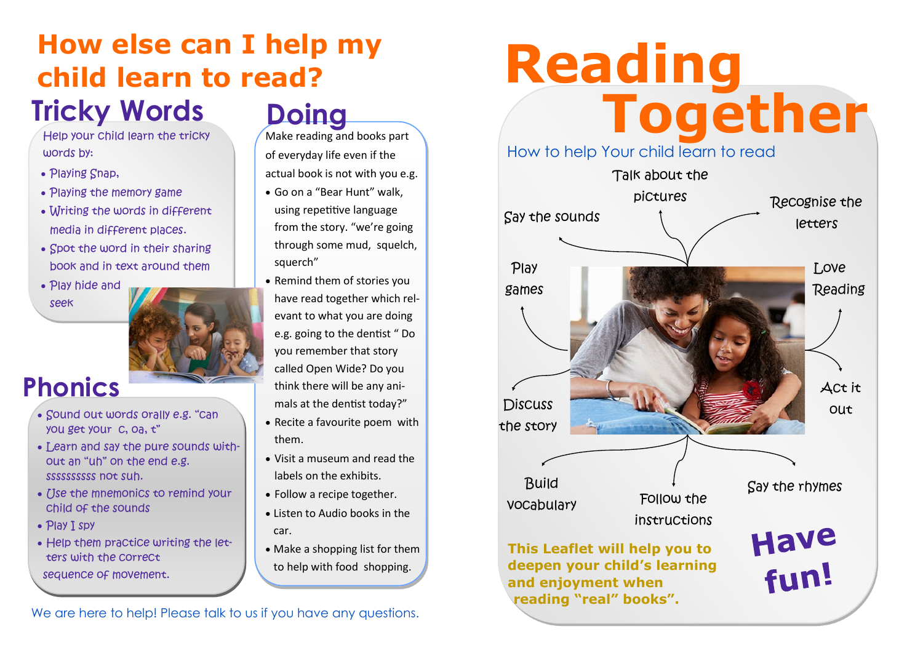# **Tricky Words Doing How else can I help my child learn to read?**

Help your child learn the tricky words by:

- Playing Snap,
- Playing the memory game
- Writing the words in different media in different places.
- Spot the word in their sharing book and in text around them
- Play hide and seek



#### **Phonics**

- Sound out words orally e.g. "can you get your c, oa, t"
- Learn and say the pure sounds without an "uh" on the end e.g. ssssssssss not suh.
- Use the mnemonics to remind your child of the sounds
- Play I spy
- Help them practice writing the letters with the correct
- sequence of movement.

Make reading and books part of everyday life even if the actual book is not with you e.g.

- Go on a "Bear Hunt" walk, using repetitive language from the story. "we're going through some mud, squelch, squerch"
- Remind them of stories you have read together which relevant to what you are doing e.g. going to the dentist " Do you remember that story called Open Wide? Do you think there will be any animals at the dentist today?"
- Recite a favourite poem with them.
- Visit a museum and read the labels on the exhibits.
- Follow a recipe together.
- Listen to Audio books in the car.
- Make a shopping list for them to help with food shopping.

We are here to help! Please talk to us if you have any questions.

# **Together Reading**